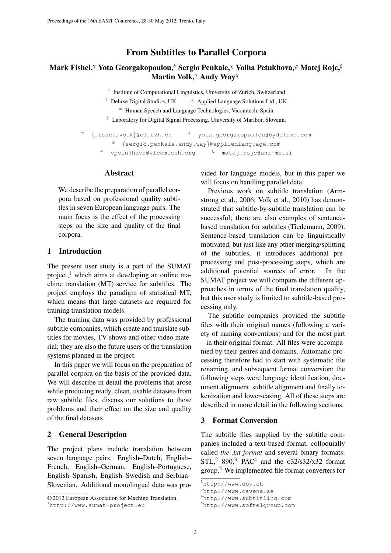# From Subtitles to Parallel Corpora

# Mark Fishel,<sup>γ</sup> Yota Georgakopoulou,<sup>δ</sup> Sergio Penkale,<sup>χ</sup> Volha Petukhova,<sup>φ</sup> Matej Rojc,<sup>ξ</sup> Martin Volk,<sup>γ</sup> Andy Wav<sup>x</sup>

γ Institute of Computational Linguistics, University of Zurich, Switzerland

 $\delta$  Deluxe Digital Studios, UK  $\lambda$  Applied Language Solutions Ltd., UK

 $\varphi$  Human Speech and Language Technologies, Vicomtech, Spain

 $ξ$  Laboratory for Digital Signal Processing, University of Maribor, Slovenia

```
γ
\{\text{fishel}, \text{volk}\}@cl.uzh.ch \delta yota.georgakopoulou@bydeluxe.com
         \chi {sergio.penkale,andy.way}@appliedlanguage.com
     \frac{\varphi}{\sqrt{2}} vpetukhova@vicomtech.org \frac{\xi}{\sqrt{2}} matej.rojc@uni-mb.si
```
#### Abstract

We describe the preparation of parallel corpora based on professional quality subtitles in seven European language pairs. The main focus is the effect of the processing steps on the size and quality of the final corpora.

#### 1 Introduction

The present user study is a part of the SUMAT project, $<sup>1</sup>$  which aims at developing an online ma-</sup> chine translation (MT) service for subtitles. The project employs the paradigm of statistical MT, which means that large datasets are required for training translation models.

The training data was provided by professional subtitle companies, which create and translate subtitles for movies, TV shows and other video material; they are also the future users of the translation systems planned in the project.

In this paper we will focus on the preparation of parallel corpora on the basis of the provided data. We will describe in detail the problems that arose while producing ready, clean, usable datasets from raw subtitle files, discuss our solutions to those problems and their effect on the size and quality of the final datasets.

## 2 General Description

The project plans include translation between seven language pairs: English–Dutch, English– French, English–German, English–Portuguese, English–Spanish, English–Swedish and Serbian– Slovenian. Additional monolingual data was pro-

© 2012 European Association for Machine Translation.

vided for language models, but in this paper we will focus on handling parallel data.

Previous work on subtitle translation (Armstrong et al., 2006; Volk et al., 2010) has demonstrated that subtitle-by-subtitle translation can be successful; there are also examples of sentencebased translation for subtitles (Tiedemann, 2009). Sentence-based translation can be linguistically motivated, but just like any other merging/splitting of the subtitles, it introduces additional preprocessing and post-processing steps, which are additional potential sources of error. In the SUMAT project we will compare the different approaches in terms of the final translation quality, but this user study is limited to subtitle-based processing only.

The subtitle companies provided the subtitle files with their original names (following a variety of naming conventions) and for the most part – in their original format. All files were accompanied by their genres and domains. Automatic processing therefore had to start with systematic file renaming, and subsequent format conversion; the following steps were language identification, document alignment, subtitle alignment and finally tokenization and lower-casing. All of these steps are described in more detail in the following sections.

## 3 Format Conversion

The subtitle files supplied by the subtitle companies included a text-based format, colloquially called *the .txt format* and several binary formats:  $STL<sup>2</sup>$  890,<sup>3</sup> PAC<sup>4</sup> and the o32/s32/x32 format group.<sup>5</sup> We implemented file format converters for

<sup>1</sup>http://www.sumat-project.eu

<sup>2</sup>http://www.ebu.ch

<sup>3</sup>http://www.cavena.se

<sup>4</sup>http://www.subtitling.com

<sup>5</sup>http://www.softelgroup.com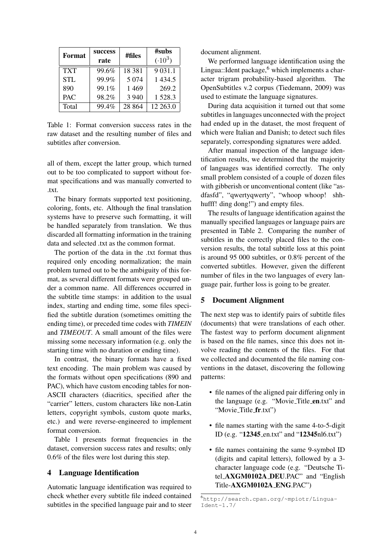| Format     | success<br>rate | #files   | #subs<br>$(.10^3)$ |
|------------|-----------------|----------|--------------------|
| <b>TXT</b> | 99.6%           | 18 3 8 1 | 9 0 3 1 .1         |
| <b>STL</b> | 99.9%           | 5 0 7 4  | 1 4 3 4 .5         |
| 890        | 99.1%           | 1 4 6 9  | 269.2              |
| <b>PAC</b> | 98.2%           | 3 9 4 0  | 1528.3             |
| Total      | 99.4%           | 28 8 6 4 | 12 263.0           |

Table 1: Format conversion success rates in the raw dataset and the resulting number of files and subtitles after conversion.

all of them, except the latter group, which turned out to be too complicated to support without format specifications and was manually converted to .txt.

The binary formats supported text positioning, coloring, fonts, etc. Although the final translation systems have to preserve such formatting, it will be handled separately from translation. We thus discarded all formatting information in the training data and selected .txt as the common format.

The portion of the data in the .txt format thus required only encoding normalization; the main problem turned out to be the ambiguity of this format, as several different formats were grouped under a common name. All differences occurred in the subtitle time stamps: in addition to the usual index, starting and ending time, some files specified the subtitle duration (sometimes omitting the ending time), or preceded time codes with *TIMEIN* and *TIMEOUT*. A small amount of the files were missing some necessary information (e.g. only the starting time with no duration or ending time).

In contrast, the binary formats have a fixed text encoding. The main problem was caused by the formats without open specifications (890 and PAC), which have custom encoding tables for non-ASCII characters (diacritics, specified after the "carrier" letters, custom characters like non-Latin letters, copyright symbols, custom quote marks, etc.) and were reverse-engineered to implement format conversion.

Table 1 presents format frequencies in the dataset, conversion success rates and results; only 0.6% of the files were lost during this step.

## 4 Language Identification

Automatic language identification was required to check whether every subtitle file indeed contained subtitles in the specified language pair and to steer document alignment.

We performed language identification using the Lingua::Ident package, $6$  which implements a character trigram probability-based algorithm. The OpenSubtitles v.2 corpus (Tiedemann, 2009) was used to estimate the language signatures.

During data acquisition it turned out that some subtitles in languages unconnected with the project had ended up in the dataset, the most frequent of which were Italian and Danish; to detect such files separately, corresponding signatures were added.

After manual inspection of the language identification results, we determined that the majority of languages was identified correctly. The only small problem consisted of a couple of dozen files with gibberish or unconventional content (like "asdfasfd", "qwertyqwerty", "whoop whoop! shhhufff! ding dong!") and empty files.

The results of language identification against the manually specified languages or language pairs are presented in Table 2. Comparing the number of subtitles in the correctly placed files to the conversion results, the total subtitle loss at this point is around 95 000 subtitles, or 0.8% percent of the converted subtitles. However, given the different number of files in the two languages of every language pair, further loss is going to be greater.

## 5 Document Alignment

The next step was to identify pairs of subtitle files (documents) that were translations of each other. The fastest way to perform document alignment is based on the file names, since this does not involve reading the contents of the files. For that we collected and documented the file naming conventions in the dataset, discovering the following patterns:

- file names of the aligned pair differing only in the language (e.g. "Movie\_Title\_en.txt" and "Movie\_Title\_fr.txt")
- file names starting with the same 4-to-5-digit ID (e.g. "12345 en.txt" and "12345nl6.txt")
- file names containing the same 9-symbol ID (digits and capital letters), followed by a 3 character language code (e.g. "Deutsche Titel AXGM0102A DEU.PAC" and "English Title-AXGM0102A ENG.PAC")

<sup>6</sup>http://search.cpan.org/~mpiotr/Lingua- $Ident-1.7/$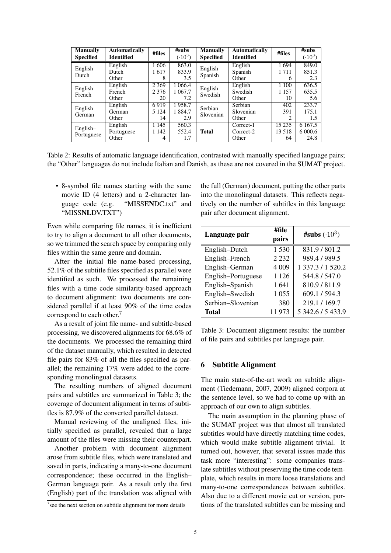| <b>Manually</b><br><b>Specified</b> | <b>Automatically</b><br><b>Identified</b> | #files  | #subs<br>$(.10^{3})$ | <b>Manually</b><br><b>Specified</b> | <b>Automatically</b><br><b>Identified</b> | #files  | #subs<br>$(0.10^{3})$ |
|-------------------------------------|-------------------------------------------|---------|----------------------|-------------------------------------|-------------------------------------------|---------|-----------------------|
| English-<br>Dutch                   | English                                   | 1606    | 863.0                | English-<br>Spanish                 | English                                   | 1694    | 849.0                 |
|                                     | Dutch                                     | 1617    | 833.9                |                                     | Spanish                                   | 1711    | 851.3                 |
|                                     | Other                                     | 8       | 3.5                  |                                     | Other                                     | 6       | 2.3                   |
| English-<br>French                  | English                                   | 2 3 6 9 | 1 0 6 6.4            | English-<br>Swedish                 | English                                   | 1 1 0 0 | 636.5                 |
|                                     | French                                    | 2 3 7 6 | 1 0 6 7 . 7          |                                     | Swedish                                   | 1 1 5 7 | 635.5                 |
|                                     | Other                                     | 20      | 7.2                  |                                     | Other                                     | 10      | 5.6                   |
| English-<br>German                  | English                                   | 6919    | 1958.7               | Serbian-                            | Serbian                                   | 402     | 233.7                 |
|                                     | German                                    | 5 1 2 4 | 1 8 8 4 . 7          |                                     | Slovenian                                 | 391     | 175.1                 |
|                                     | Other                                     | 14      | 2.9                  | Slovenian                           | Other                                     | 2       | 1.5                   |
| English-<br>Portuguese              | English                                   | 1 1 4 5 | 560.3                |                                     | Correct-1                                 | 15 2 35 | 6 1 6 7 .5            |
|                                     | Portuguese                                | 1 1 4 2 | 552.4                | <b>Total</b>                        | Correct-2                                 | 13.518  | 6 000.6               |
|                                     | Other                                     | 4       | 1.7                  |                                     | Other                                     | 64      | 24.8                  |

Table 2: Results of automatic language identification, contrasted with manually specified language pairs; the "Other" languages do not include Italian and Danish, as these are not covered in the SUMAT project.

• 8-symbol file names starting with the same movie ID (4 letters) and a 2-character language code (e.g. "MISSENDC.txt" and "MISSNLDV.TXT")

Even while comparing file names, it is inefficient to try to align a document to all other documents, so we trimmed the search space by comparing only files within the same genre and domain.

After the initial file name-based processing, 52.1% of the subtitle files specified as parallel were identified as such. We processed the remaining files with a time code similarity-based approach to document alignment: two documents are considered parallel if at least 90% of the time codes correspond to each other.<sup>7</sup>

As a result of joint file name- and subtitle-based processing, we discovered alignments for 68.6% of the documents. We processed the remaining third of the dataset manually, which resulted in detected file pairs for 83% of all the files specified as parallel; the remaining 17% were added to the corresponding monolingual datasets.

The resulting numbers of aligned document pairs and subtitles are summarized in Table 3; the coverage of document alignment in terms of subtitles is 87.9% of the converted parallel dataset.

Manual reviewing of the unaligned files, initially specified as parallel, revealed that a large amount of the files were missing their counterpart.

Another problem with document alignment arose from subtitle files, which were translated and saved in parts, indicating a many-to-one document correspondence; these occurred in the English– German language pair. As a result only the first (English) part of the translation was aligned with

the full (German) document, putting the other parts into the monolingual datasets. This reflects negatively on the number of subtitles in this language pair after document alignment.

| Language pair      | #file   | #subs $(.10^3)$   |
|--------------------|---------|-------------------|
|                    | pairs   |                   |
| English-Dutch      | 1530    | 831.9 / 801.2     |
| English-French     | 2 2 3 2 | 989.4 / 989.5     |
| English-German     | 4 0 0 9 | 1 337.3 / 1 520.2 |
| English-Portuguese | 1 1 2 6 | 544.8 / 547.0     |
| English-Spanish    | 1641    | 810.9/811.9       |
| English-Swedish    | 1 0 5 5 | 609.1 / 594.3     |
| Serbian-Slovenian  | 380     | 219.1 / 169.7     |
| <b>Total</b>       | 11973   | 5 342.6 / 5 433.9 |

Table 3: Document alignment results: the number of file pairs and subtitles per language pair.

#### 6 Subtitle Alignment

The main state-of-the-art work on subtitle alignment (Tiedemann, 2007, 2009) aligned corpora at the sentence level, so we had to come up with an approach of our own to align subtitles.

The main assumption in the planning phase of the SUMAT project was that almost all translated subtitles would have directly matching time codes, which would make subtitle alignment trivial. It turned out, however, that several issues made this task more "interesting": some companies translate subtitles without preserving the time code template, which results in more loose translations and many-to-one correspondences between subtitles. Also due to a different movie cut or version, portions of the translated subtitles can be missing and

 $7$  see the next section on subtitle alignment for more details